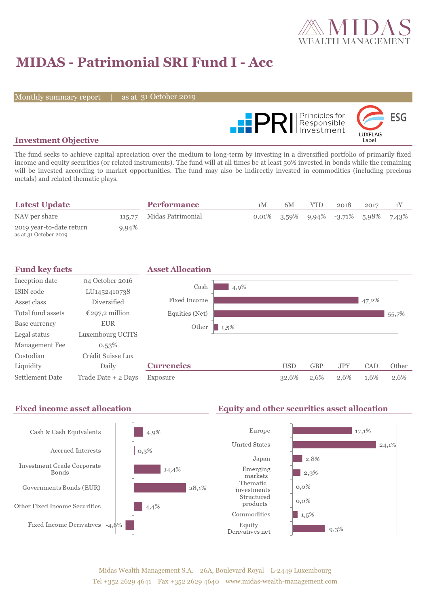

# **MIDAS - Patrimonial SRI Fund I - Acc**

Monthly summary report

31 October 2019



### **Investment Objective**

The fund seeks to achieve capital apreciation over the medium to long-term by investing in a diversified portfolio of primarily fixed income and equity securities (or related instruments). The fund will at all times be at least 50% invested in bonds while the remaining will be invested according to market opportunities. The fund may also be indirectly invested in commodities (including precious metals) and related thematic plays.

| <b>Latest Update</b>                              |       | <b>Performance</b>       | 1 <sub>M</sub> | 6M                                                     | YTD. | 2018 | 2017 |  |
|---------------------------------------------------|-------|--------------------------|----------------|--------------------------------------------------------|------|------|------|--|
| NAV per share                                     |       | 115,77 Midas Patrimonial |                | $0.01\%$ $3.59\%$ $9.94\%$ $-3.71\%$ $5.98\%$ $7.43\%$ |      |      |      |  |
| 2019 year-to-date return<br>as at 31 October 2019 | 9,94% |                          |                |                                                        |      |      |      |  |

| <b>Fund key facts</b> |                     | <b>Asset Allocation</b> |         |            |            |            |       |       |
|-----------------------|---------------------|-------------------------|---------|------------|------------|------------|-------|-------|
| Inception date        | 04 October 2016     | Cash                    |         |            |            |            |       |       |
| ISIN code             | LU1452410738        |                         | 4,9%    |            |            |            |       |       |
| Asset class           | Diversified         | Fixed Income            |         |            |            |            | 47,2% |       |
| Total fund assets     | $E297,2$ million    | Equities (Net)          |         |            |            |            |       | 55,7% |
| Base currency         | <b>EUR</b>          | Other                   | $1,5\%$ |            |            |            |       |       |
| Legal status          | Luxembourg UCITS    |                         |         |            |            |            |       |       |
| Management Fee        | 0,53%               |                         |         |            |            |            |       |       |
| Custodian             | Crédit Suisse Lux   |                         |         |            |            |            |       |       |
| Liquidity             | Daily               | <b>Currencies</b>       |         | <b>USD</b> | <b>GBP</b> | <b>JPY</b> | CAD   | Other |
| Settlement Date       | Trade Date + 2 Days | Exposure                |         | 32,6%      | 2,6%       | 2,6%       | 1,6%  | 2,6%  |

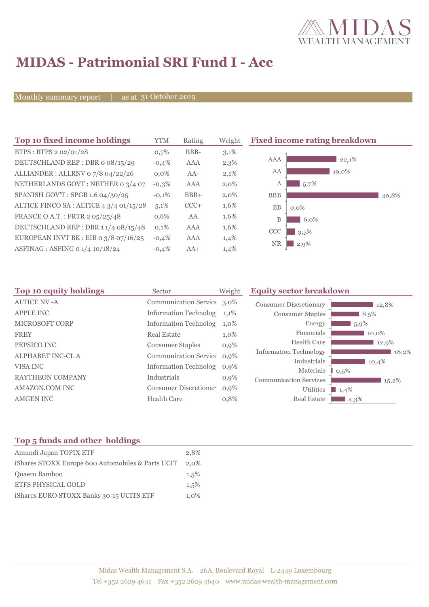

# **MIDAS - Patrimonial SRI Fund I - Acc**

Monthly summary report | as at 31 October 2019

| Top 10 fixed income holdings            | YTM     | Rating | Weight  | <b>Fixed income rating breakdown</b> |
|-----------------------------------------|---------|--------|---------|--------------------------------------|
| BTPS: BTPS 2 02/01/28                   | 0,7%    | BBB-   | 3,1%    |                                      |
| DEUTSCHLAND REP : DBR o 08/15/29        | $-0,4%$ | AAA    | 2,3%    | AAA<br>22,1%                         |
| ALLIANDER: ALLRNV 07/8 04/22/26         | $0.0\%$ | $AA-$  | 2,1%    | AA<br>19,0%                          |
| NETHERLANDS GOVT: NETHER 0 3/4 07       | $-0,3%$ | AAA    | $2,0\%$ | 5,7%<br>А                            |
| SPANISH GOV'T: SPGB 1.6 04/30/25        | $-0,1%$ | $BBB+$ | $2,0\%$ | <b>BBB</b><br>40,8%                  |
| ALTICE FINCO SA : ALTICE 4 3/4 01/15/28 | 5,1%    | $CCC+$ | 1,6%    | <b>BB</b><br>$0,0\%$                 |
| FRANCE O.A.T.: FRTR 2 05/25/48          | 0,6%    | AA     | 1,6%    | B<br>6,0%                            |
| DEUTSCHLAND REP: DBR 1 1/4 08/15/48     | 0,1%    | AAA    | 1,6%    | CCC<br>3.5%                          |
| EUROPEAN INVT BK : EIB o $3/8$ o7/16/25 | $-0,4%$ | AAA    | 1,4%    | <b>NR</b>                            |
| ASFINAG : ASFING 0 1/4 10/18/24         | $-0.4%$ | $AA+$  | 1,4%    | $2,9\%$                              |

| Sector                  | Weight  | <b>Equity sector breakdown</b>                                                                                                                                                         |                                                           |  |
|-------------------------|---------|----------------------------------------------------------------------------------------------------------------------------------------------------------------------------------------|-----------------------------------------------------------|--|
|                         |         | <b>Consumer Discretionary</b>                                                                                                                                                          | 12,8%                                                     |  |
|                         | $1,1\%$ | Consumer Staples                                                                                                                                                                       | 8,5%                                                      |  |
|                         | 1,0%    | Energy                                                                                                                                                                                 | 5,9%                                                      |  |
| <b>Real Estate</b>      | $1,0\%$ | Financials                                                                                                                                                                             | 10,0%                                                     |  |
| <b>Consumer Staples</b> | $0,9\%$ | Health Care                                                                                                                                                                            | 12,9%                                                     |  |
|                         |         |                                                                                                                                                                                        | 18,2%                                                     |  |
|                         | $0.9\%$ |                                                                                                                                                                                        | 10,4%                                                     |  |
| Industrials             | $0,9\%$ | <b>Communication Services</b>                                                                                                                                                          | 0,5%<br>$15,2\%$                                          |  |
|                         |         | Utilities                                                                                                                                                                              | 1,4%                                                      |  |
| <b>Health Care</b>      | 0,8%    | Real Estate                                                                                                                                                                            | 4,3%                                                      |  |
|                         |         | Communication Service 3,0%<br><b>Information Technolog</b><br><b>Information Technolog</b><br>Communication Service 0,9%<br><b>Information Technolog</b><br>Consumer Discretionar 0.9% | <b>Information Technology</b><br>Industrials<br>Materials |  |

## **Top 5 funds and other holdings**

| Amundi Japan TOPIX ETF                            | 2.8%    |
|---------------------------------------------------|---------|
| iShares STOXX Europe 600 Automobiles & Parts UCIT | 2,0%    |
| Quaero Bamboo                                     | 1.5%    |
| <b>ETFS PHYSICAL GOLD</b>                         | 1.5%    |
| iShares EURO STOXX Banks 30-15 UCITS ETF          | $1.0\%$ |
|                                                   |         |